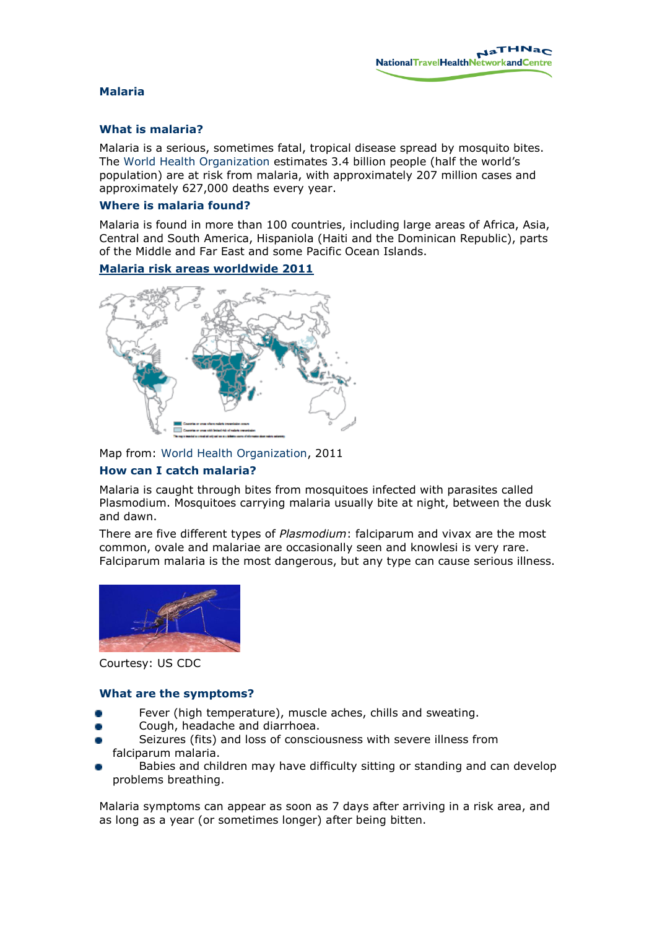### **Malaria**

# **What is malaria?**

Malaria is a serious, sometimes fatal, tropical disease spread by mosquito bites. The [World Health Organization](http://www.who.int/features/factfiles/malaria/en/index.html) estimates 3.4 billion people (half the world's population) are at risk from malaria, with approximately 207 million cases and approximately 627,000 deaths every year.

### **Where is malaria found?**

Malaria is found in more than 100 countries, including large areas of Africa, Asia, Central and South America, Hispaniola (Haiti and the Dominican Republic), parts of the Middle and Far East and some Pacific Ocean Islands.

## **Malaria risk areas worldwide 2011**



Map from: [World Health Organization,](http://www.who.int/malaria/travellers/en/) 2011

## **How can I catch malaria?**

Malaria is caught through bites from mosquitoes infected with parasites called Plasmodium. Mosquitoes carrying malaria usually bite at night, between the dusk and dawn.

There are five different types of *Plasmodium*: falciparum and vivax are the most common, ovale and malariae are occasionally seen and knowlesi is very rare. Falciparum malaria is the most dangerous, but any type can cause serious illness.



Courtesy: US CDC

## **What are the symptoms?**

- Fever (high temperature), muscle aches, chills and sweating.
- Cough, headache and diarrhoea.
- Seizures (fits) and loss of consciousness with severe illness from falciparum malaria.
- Babies and children may have difficulty sitting or standing and can develop problems breathing.

Malaria symptoms can appear as soon as 7 days after arriving in a risk area, and as long as a year (or sometimes longer) after being bitten.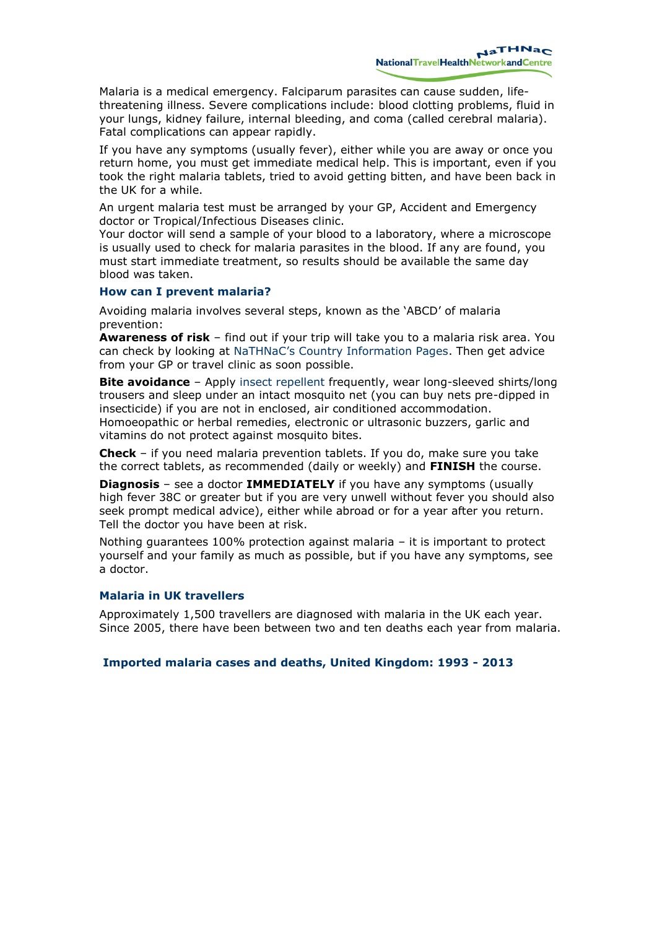Malaria is a medical emergency. Falciparum parasites can cause sudden, lifethreatening illness. Severe complications include: blood clotting problems, fluid in your lungs, kidney failure, internal bleeding, and coma (called cerebral malaria). Fatal complications can appear rapidly.

If you have any symptoms (usually fever), either while you are away or once you return home, you must get immediate medical help. This is important, even if you took the right malaria tablets, tried to avoid getting bitten, and have been back in the UK for a while.

An urgent malaria test must be arranged by your GP, Accident and Emergency doctor or Tropical/Infectious Diseases clinic.

Your doctor will send a sample of your blood to a laboratory, where a microscope is usually used to check for malaria parasites in the blood. If any are found, you must start immediate treatment, so results should be available the same day blood was taken.

#### **How can I prevent malaria?**

Avoiding malaria involves several steps, known as the 'ABCD' of malaria prevention:

**Awareness of risk** – find out if your trip will take you to a malaria risk area. You can check by looking at [NaTHNaC's Country Information Pages](http://www.nathnac.org/ds/map_world.aspx). Then get advice from your GP or travel clinic as soon possible.

**Bite avoidance** – Apply [insect repellent](http://www.nathnac.org/travel/misc/travellers_mos.htm) frequently, wear long-sleeved shirts/long trousers and sleep under an intact mosquito net (you can buy nets pre-dipped in insecticide) if you are not in enclosed, air conditioned accommodation. Homoeopathic or herbal remedies, electronic or ultrasonic buzzers, garlic and vitamins do not protect against mosquito bites.

**Check** – if you need malaria prevention tablets. If you do, make sure you take the correct tablets, as recommended (daily or weekly) and **FINISH** the course.

**Diagnosis** – see a doctor **IMMEDIATELY** if you have any symptoms (usually high fever 38C or greater but if you are very unwell without fever you should also seek prompt medical advice), either while abroad or for a year after you return. Tell the doctor you have been at risk.

Nothing guarantees 100% protection against malaria – it is important to protect yourself and your family as much as possible, but if you have any symptoms, see a doctor.

## **Malaria in UK travellers**

Approximately 1,500 travellers are diagnosed with malaria in the UK each year. Since 2005, there have been between two and ten deaths each year from malaria.

#### **Imported malaria cases and deaths, United Kingdom: 1993 - 2013**